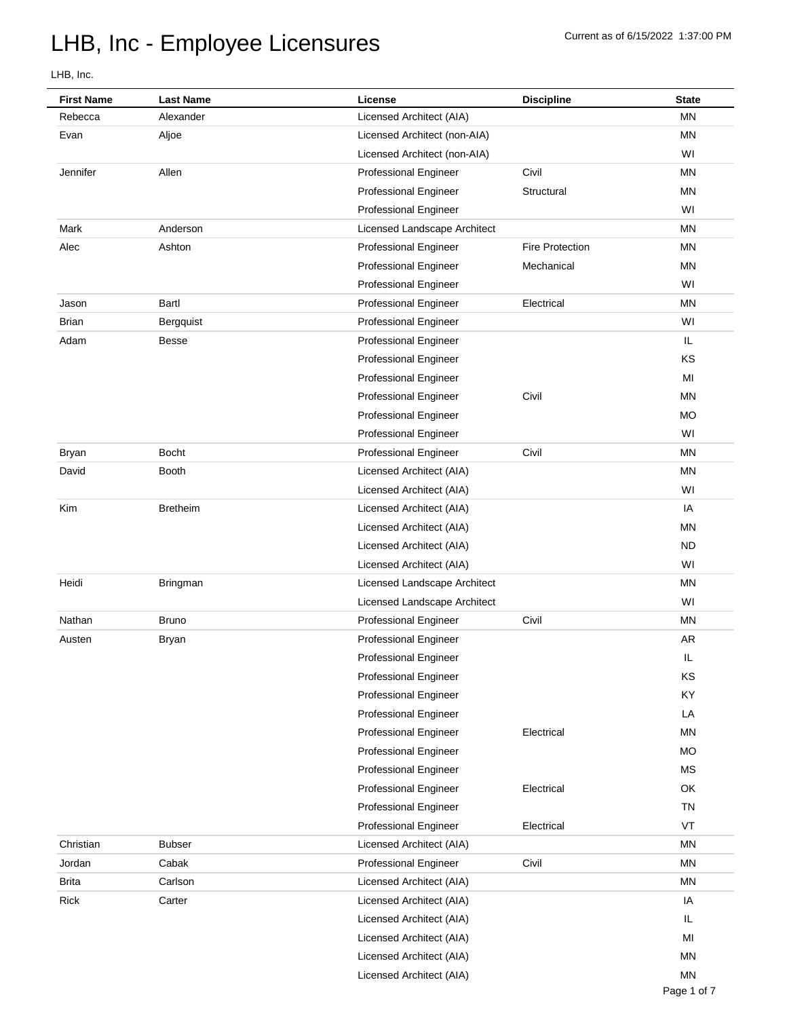| <b>First Name</b> | <b>Last Name</b> | License                      | <b>Discipline</b>      | <b>State</b> |
|-------------------|------------------|------------------------------|------------------------|--------------|
| Rebecca           | Alexander        | Licensed Architect (AIA)     |                        | <b>MN</b>    |
| Evan              | Aljoe            | Licensed Architect (non-AIA) |                        | <b>MN</b>    |
|                   |                  | Licensed Architect (non-AIA) |                        | WI           |
| Jennifer          | Allen            | Professional Engineer        | Civil                  | <b>MN</b>    |
|                   |                  | <b>Professional Engineer</b> | Structural             | ΜN           |
|                   |                  | <b>Professional Engineer</b> |                        | WI           |
| Mark              | Anderson         | Licensed Landscape Architect |                        | <b>MN</b>    |
| Alec              | Ashton           | <b>Professional Engineer</b> | <b>Fire Protection</b> | <b>MN</b>    |
|                   |                  | <b>Professional Engineer</b> | Mechanical             | <b>MN</b>    |
|                   |                  | <b>Professional Engineer</b> |                        | WI           |
| Jason             | Bartl            | Professional Engineer        | Electrical             | <b>MN</b>    |
| <b>Brian</b>      | Bergquist        | <b>Professional Engineer</b> |                        | WI           |
| Adam              | <b>Besse</b>     | <b>Professional Engineer</b> |                        | IL           |
|                   |                  | <b>Professional Engineer</b> |                        | KS           |
|                   |                  | <b>Professional Engineer</b> |                        | MI           |
|                   |                  | <b>Professional Engineer</b> | Civil                  | <b>MN</b>    |
|                   |                  | <b>Professional Engineer</b> |                        | <b>MO</b>    |
|                   |                  | <b>Professional Engineer</b> |                        | WI           |
| <b>Bryan</b>      | <b>Bocht</b>     | <b>Professional Engineer</b> | Civil                  | <b>MN</b>    |
| David             | <b>Booth</b>     | Licensed Architect (AIA)     |                        | <b>MN</b>    |
|                   |                  | Licensed Architect (AIA)     |                        | WI           |
| Kim               | <b>Bretheim</b>  | Licensed Architect (AIA)     |                        | IA           |
|                   |                  | Licensed Architect (AIA)     |                        | <b>MN</b>    |
|                   |                  | Licensed Architect (AIA)     |                        | <b>ND</b>    |
|                   |                  | Licensed Architect (AIA)     |                        | WI           |
| Heidi             | Bringman         | Licensed Landscape Architect |                        | <b>MN</b>    |
|                   |                  | Licensed Landscape Architect |                        | WI           |
| Nathan            | <b>Bruno</b>     | Professional Engineer        | Civil                  | <b>MN</b>    |
| Austen            | <b>Bryan</b>     | Professional Engineer        |                        | <b>AR</b>    |
|                   |                  | <b>Professional Engineer</b> |                        | ш            |
|                   |                  | <b>Professional Engineer</b> |                        | KS           |
|                   |                  | <b>Professional Engineer</b> |                        | KY           |
|                   |                  | <b>Professional Engineer</b> |                        | LA           |
|                   |                  | <b>Professional Engineer</b> | Electrical             | <b>MN</b>    |
|                   |                  | <b>Professional Engineer</b> |                        | <b>MO</b>    |
|                   |                  | <b>Professional Engineer</b> |                        | <b>MS</b>    |
|                   |                  | <b>Professional Engineer</b> | Electrical             | OK           |
|                   |                  | <b>Professional Engineer</b> |                        | <b>TN</b>    |
|                   |                  | <b>Professional Engineer</b> | Electrical             | VT           |
| Christian         | <b>Bubser</b>    | Licensed Architect (AIA)     |                        | <b>MN</b>    |
| Jordan            | Cabak            | <b>Professional Engineer</b> | Civil                  | MN           |
| <b>Brita</b>      | Carlson          | Licensed Architect (AIA)     |                        | MN           |
| Rick              | Carter           | Licensed Architect (AIA)     |                        | IA           |
|                   |                  | Licensed Architect (AIA)     |                        | IL           |
|                   |                  | Licensed Architect (AIA)     |                        | MI           |
|                   |                  | Licensed Architect (AIA)     |                        | <b>MN</b>    |
|                   |                  | Licensed Architect (AIA)     |                        | <b>MN</b>    |
|                   |                  |                              |                        |              |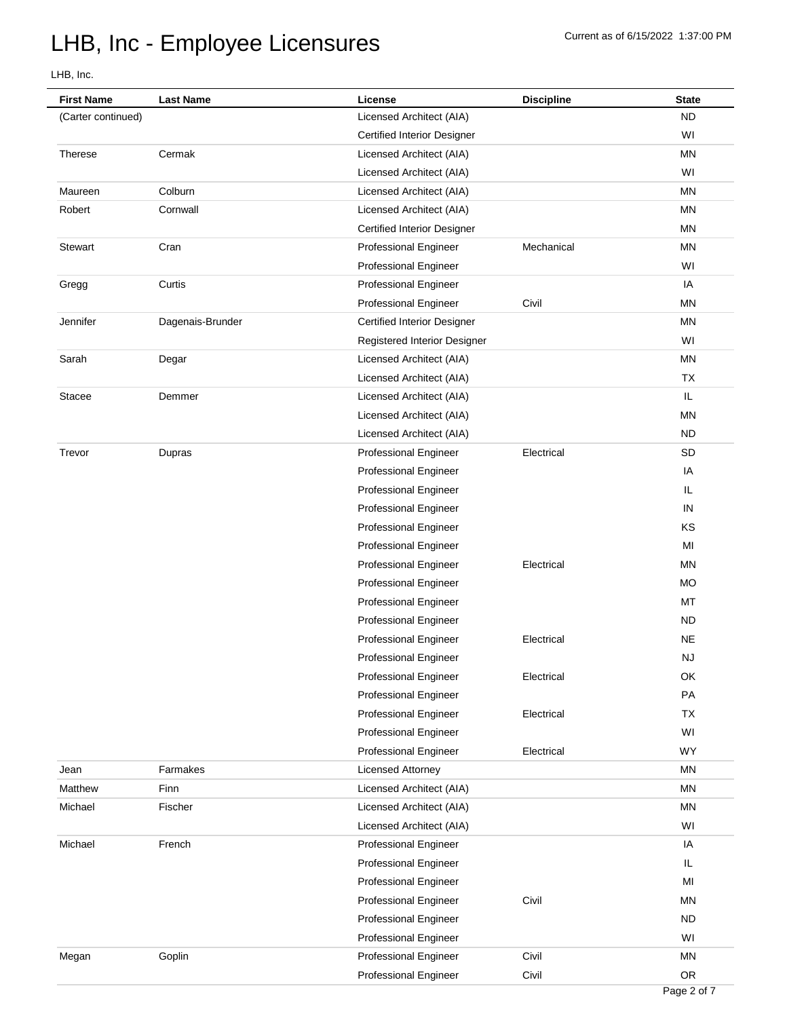| <b>First Name</b>  | <b>Last Name</b> | License                            | <b>Discipline</b> | <b>State</b> |
|--------------------|------------------|------------------------------------|-------------------|--------------|
| (Carter continued) |                  | Licensed Architect (AIA)           |                   | <b>ND</b>    |
|                    |                  | <b>Certified Interior Designer</b> |                   | WI           |
| <b>Therese</b>     | Cermak           | Licensed Architect (AIA)           |                   | <b>MN</b>    |
|                    |                  | Licensed Architect (AIA)           |                   | WI           |
| Maureen            | Colburn          | Licensed Architect (AIA)           |                   | <b>MN</b>    |
| Robert             | Cornwall         | Licensed Architect (AIA)           |                   | <b>MN</b>    |
|                    |                  | <b>Certified Interior Designer</b> |                   | <b>MN</b>    |
| <b>Stewart</b>     | Cran             | <b>Professional Engineer</b>       | Mechanical        | <b>MN</b>    |
|                    |                  | <b>Professional Engineer</b>       |                   | WI           |
| Gregg              | Curtis           | <b>Professional Engineer</b>       |                   | IA           |
|                    |                  | Professional Engineer              | Civil             | <b>MN</b>    |
| Jennifer           | Dagenais-Brunder | <b>Certified Interior Designer</b> |                   | <b>MN</b>    |
|                    |                  | Registered Interior Designer       |                   | WI           |
| Sarah              | Degar            | Licensed Architect (AIA)           |                   | <b>MN</b>    |
|                    |                  | Licensed Architect (AIA)           |                   | <b>TX</b>    |
| <b>Stacee</b>      | Demmer           | Licensed Architect (AIA)           |                   | IL           |
|                    |                  | Licensed Architect (AIA)           |                   | <b>MN</b>    |
|                    |                  | Licensed Architect (AIA)           |                   | <b>ND</b>    |
| Trevor             | Dupras           | <b>Professional Engineer</b>       | Electrical        | <b>SD</b>    |
|                    |                  | <b>Professional Engineer</b>       |                   | IA           |
|                    |                  | <b>Professional Engineer</b>       |                   | IL.          |
|                    |                  | <b>Professional Engineer</b>       |                   | IN           |
|                    |                  | <b>Professional Engineer</b>       |                   | KS           |
|                    |                  | <b>Professional Engineer</b>       |                   | MI           |
|                    |                  | <b>Professional Engineer</b>       | Electrical        | <b>MN</b>    |
|                    |                  | <b>Professional Engineer</b>       |                   | <b>MO</b>    |
|                    |                  | <b>Professional Engineer</b>       |                   | MT           |
|                    |                  | <b>Professional Engineer</b>       |                   | <b>ND</b>    |
|                    |                  | Professional Engineer              | Electrical        | <b>NE</b>    |
|                    |                  | <b>Professional Engineer</b>       |                   | NJ           |
|                    |                  | <b>Professional Engineer</b>       | Electrical        | OK           |
|                    |                  | <b>Professional Engineer</b>       |                   | PA           |
|                    |                  | <b>Professional Engineer</b>       | Electrical        | <b>TX</b>    |
|                    |                  | <b>Professional Engineer</b>       |                   | WI           |
|                    |                  | Professional Engineer              | Electrical        | <b>WY</b>    |
| Jean               | Farmakes         | <b>Licensed Attorney</b>           |                   | MN           |
| Matthew            | Finn             | Licensed Architect (AIA)           |                   | MN           |
| Michael            | Fischer          | Licensed Architect (AIA)           |                   | MN           |
|                    |                  | Licensed Architect (AIA)           |                   | WI           |
| Michael            | French           | <b>Professional Engineer</b>       |                   | IA           |
|                    |                  | <b>Professional Engineer</b>       |                   | IL           |
|                    |                  | <b>Professional Engineer</b>       |                   | MI           |
|                    |                  | <b>Professional Engineer</b>       | Civil             | ΜN           |
|                    |                  | <b>Professional Engineer</b>       |                   | <b>ND</b>    |
|                    |                  | <b>Professional Engineer</b>       |                   | WI           |
| Megan              | Goplin           | <b>Professional Engineer</b>       | Civil             | MN           |
|                    |                  | <b>Professional Engineer</b>       | Civil             | OR           |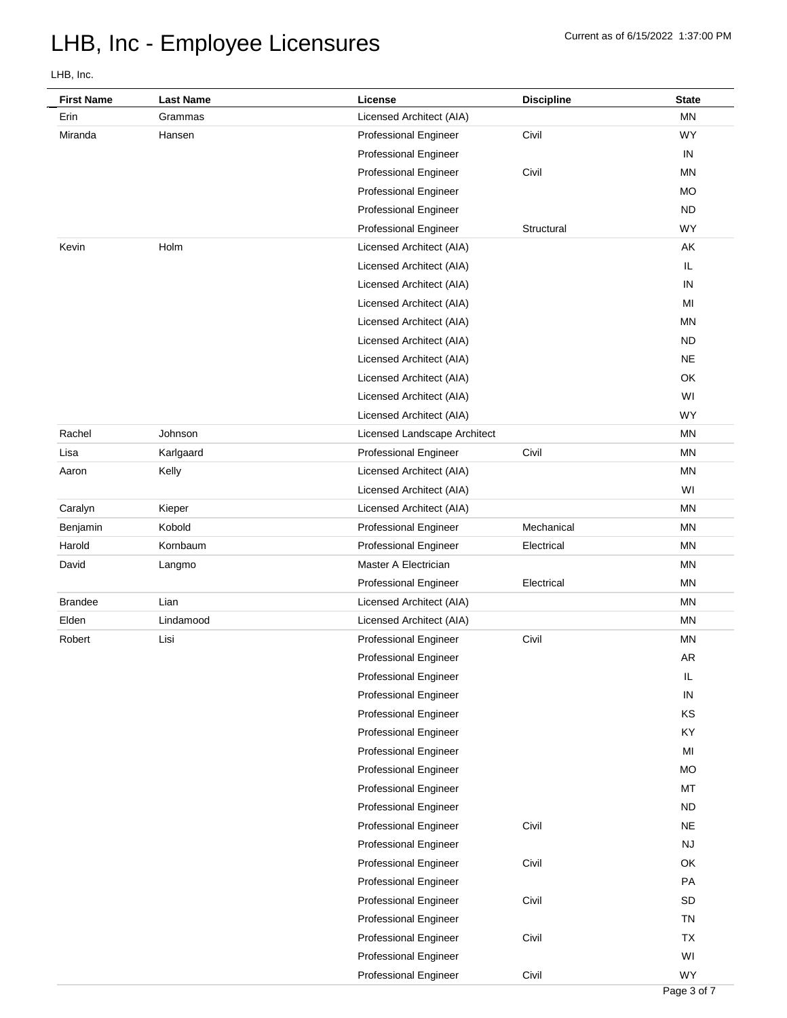| <b>First Name</b> | <b>Last Name</b> | License                      | <b>Discipline</b> | <b>State</b>   |
|-------------------|------------------|------------------------------|-------------------|----------------|
| Erin              | Grammas          | Licensed Architect (AIA)     |                   | <b>MN</b>      |
| Miranda           | Hansen           | <b>Professional Engineer</b> | Civil             | WY             |
|                   |                  | <b>Professional Engineer</b> |                   | IN             |
|                   |                  | <b>Professional Engineer</b> | Civil             | <b>MN</b>      |
|                   |                  | <b>Professional Engineer</b> |                   | МO             |
|                   |                  | Professional Engineer        |                   | <b>ND</b>      |
|                   |                  | <b>Professional Engineer</b> | Structural        | <b>WY</b>      |
| Kevin             | Holm             | Licensed Architect (AIA)     |                   | AK             |
|                   |                  | Licensed Architect (AIA)     |                   | IL             |
|                   |                  | Licensed Architect (AIA)     |                   | IN             |
|                   |                  | Licensed Architect (AIA)     |                   | MI             |
|                   |                  | Licensed Architect (AIA)     |                   | <b>MN</b>      |
|                   |                  | Licensed Architect (AIA)     |                   | <b>ND</b>      |
|                   |                  | Licensed Architect (AIA)     |                   | <b>NE</b>      |
|                   |                  | Licensed Architect (AIA)     |                   | OK             |
|                   |                  | Licensed Architect (AIA)     |                   | WI             |
|                   |                  | Licensed Architect (AIA)     |                   | WY             |
| Rachel            | Johnson          | Licensed Landscape Architect |                   | <b>MN</b>      |
| Lisa              | Karlgaard        | <b>Professional Engineer</b> | Civil             | <b>MN</b>      |
| Aaron             | Kelly            | Licensed Architect (AIA)     |                   | <b>MN</b>      |
|                   |                  | Licensed Architect (AIA)     |                   | WI             |
| Caralyn           | Kieper           | Licensed Architect (AIA)     |                   | <b>MN</b>      |
| Benjamin          | Kobold           | Professional Engineer        | Mechanical        | <b>MN</b>      |
| Harold            | Kornbaum         | <b>Professional Engineer</b> | Electrical        | <b>MN</b>      |
| David             | Langmo           | Master A Electrician         |                   | <b>MN</b>      |
|                   |                  | <b>Professional Engineer</b> | Electrical        | <b>MN</b>      |
| <b>Brandee</b>    | Lian             | Licensed Architect (AIA)     |                   | ΜN             |
| Elden             | Lindamood        | Licensed Architect (AIA)     |                   | <b>MN</b>      |
| Robert            | Lisi             | Professional Engineer        | Civil             | <b>MN</b>      |
|                   |                  | Professional Engineer        |                   | <b>AR</b>      |
|                   |                  | <b>Professional Engineer</b> |                   | IL             |
|                   |                  | <b>Professional Engineer</b> |                   | ${\sf IN}$     |
|                   |                  | <b>Professional Engineer</b> |                   | KS             |
|                   |                  | <b>Professional Engineer</b> |                   | KY             |
|                   |                  | <b>Professional Engineer</b> |                   | M <sub>l</sub> |
|                   |                  | <b>Professional Engineer</b> |                   | <b>MO</b>      |
|                   |                  | <b>Professional Engineer</b> |                   | MT             |
|                   |                  | <b>Professional Engineer</b> |                   | <b>ND</b>      |
|                   |                  | <b>Professional Engineer</b> | Civil             | <b>NE</b>      |
|                   |                  | <b>Professional Engineer</b> |                   | <b>NJ</b>      |
|                   |                  | <b>Professional Engineer</b> | Civil             | OK             |
|                   |                  | <b>Professional Engineer</b> |                   | PA             |
|                   |                  | <b>Professional Engineer</b> | Civil             | <b>SD</b>      |
|                   |                  | <b>Professional Engineer</b> |                   | <b>TN</b>      |
|                   |                  | <b>Professional Engineer</b> | Civil             | <b>TX</b>      |
|                   |                  | <b>Professional Engineer</b> |                   | WI             |
|                   |                  | Professional Engineer        | Civil             | WY             |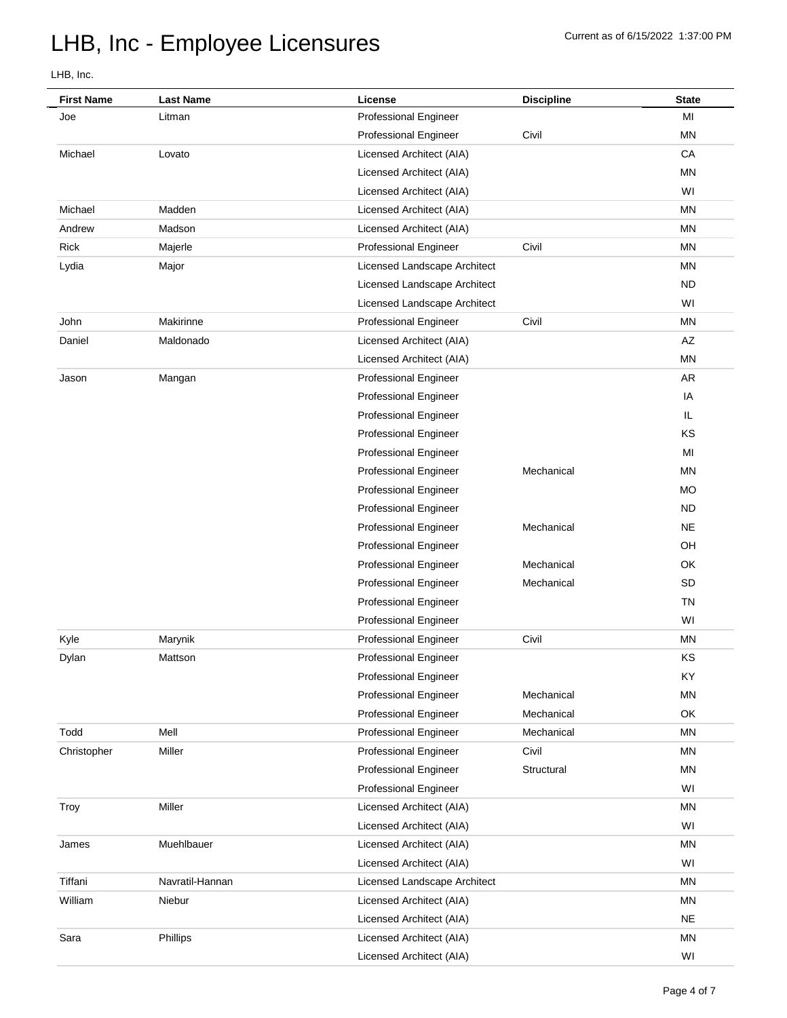| <b>First Name</b> | <b>Last Name</b> | License                      | <b>Discipline</b> | <b>State</b> |
|-------------------|------------------|------------------------------|-------------------|--------------|
| Joe               | Litman           | <b>Professional Engineer</b> |                   | MI           |
|                   |                  | <b>Professional Engineer</b> | Civil             | <b>MN</b>    |
| Michael           | Lovato           | Licensed Architect (AIA)     |                   | CA           |
|                   |                  | Licensed Architect (AIA)     |                   | <b>MN</b>    |
|                   |                  | Licensed Architect (AIA)     |                   | WI           |
| Michael           | Madden           | Licensed Architect (AIA)     |                   | <b>MN</b>    |
| Andrew            | Madson           | Licensed Architect (AIA)     |                   | <b>MN</b>    |
| Rick              | Majerle          | <b>Professional Engineer</b> | Civil             | ΜN           |
| Lydia             | Major            | Licensed Landscape Architect |                   | <b>MN</b>    |
|                   |                  | Licensed Landscape Architect |                   | <b>ND</b>    |
|                   |                  | Licensed Landscape Architect |                   | WI           |
| John              | Makirinne        | <b>Professional Engineer</b> | Civil             | <b>MN</b>    |
| Daniel            | Maldonado        | Licensed Architect (AIA)     |                   | AZ           |
|                   |                  | Licensed Architect (AIA)     |                   | <b>MN</b>    |
| Jason             | Mangan           | <b>Professional Engineer</b> |                   | AR           |
|                   |                  | <b>Professional Engineer</b> |                   | IA           |
|                   |                  | <b>Professional Engineer</b> |                   | IL.          |
|                   |                  | <b>Professional Engineer</b> |                   | KS           |
|                   |                  | <b>Professional Engineer</b> |                   | MI           |
|                   |                  | <b>Professional Engineer</b> | Mechanical        | <b>MN</b>    |
|                   |                  | <b>Professional Engineer</b> |                   | МO           |
|                   |                  | <b>Professional Engineer</b> |                   | <b>ND</b>    |
|                   |                  | <b>Professional Engineer</b> | Mechanical        | <b>NE</b>    |
|                   |                  | <b>Professional Engineer</b> |                   | OH           |
|                   |                  | <b>Professional Engineer</b> | Mechanical        | OK           |
|                   |                  | <b>Professional Engineer</b> | Mechanical        | SD           |
|                   |                  | <b>Professional Engineer</b> |                   | <b>TN</b>    |
|                   |                  | <b>Professional Engineer</b> |                   | WI           |
| Kyle              | Marynik          | <b>Professional Engineer</b> | Civil             | <b>MN</b>    |
| Dylan             | Mattson          | Professional Engineer        |                   | KS           |
|                   |                  | <b>Professional Engineer</b> |                   | KY           |
|                   |                  | <b>Professional Engineer</b> | Mechanical        | MN           |
|                   |                  | <b>Professional Engineer</b> | Mechanical        | OK           |
| Todd              | Mell             | <b>Professional Engineer</b> | Mechanical        | ΜN           |
| Christopher       | Miller           | <b>Professional Engineer</b> | Civil             | <b>MN</b>    |
|                   |                  | <b>Professional Engineer</b> | Structural        | MN           |
|                   |                  | <b>Professional Engineer</b> |                   | WI           |
| Troy              | Miller           | Licensed Architect (AIA)     |                   | <b>MN</b>    |
|                   |                  | Licensed Architect (AIA)     |                   | WI           |
| James             | Muehlbauer       | Licensed Architect (AIA)     |                   | ΜN           |
|                   |                  | Licensed Architect (AIA)     |                   | WI           |
| Tiffani           | Navratil-Hannan  | Licensed Landscape Architect |                   | <b>MN</b>    |
| William           | Niebur           | Licensed Architect (AIA)     |                   | MN           |
|                   |                  | Licensed Architect (AIA)     |                   | <b>NE</b>    |
| Sara              | Phillips         | Licensed Architect (AIA)     |                   | MN           |
|                   |                  | Licensed Architect (AIA)     |                   | WI           |
|                   |                  |                              |                   |              |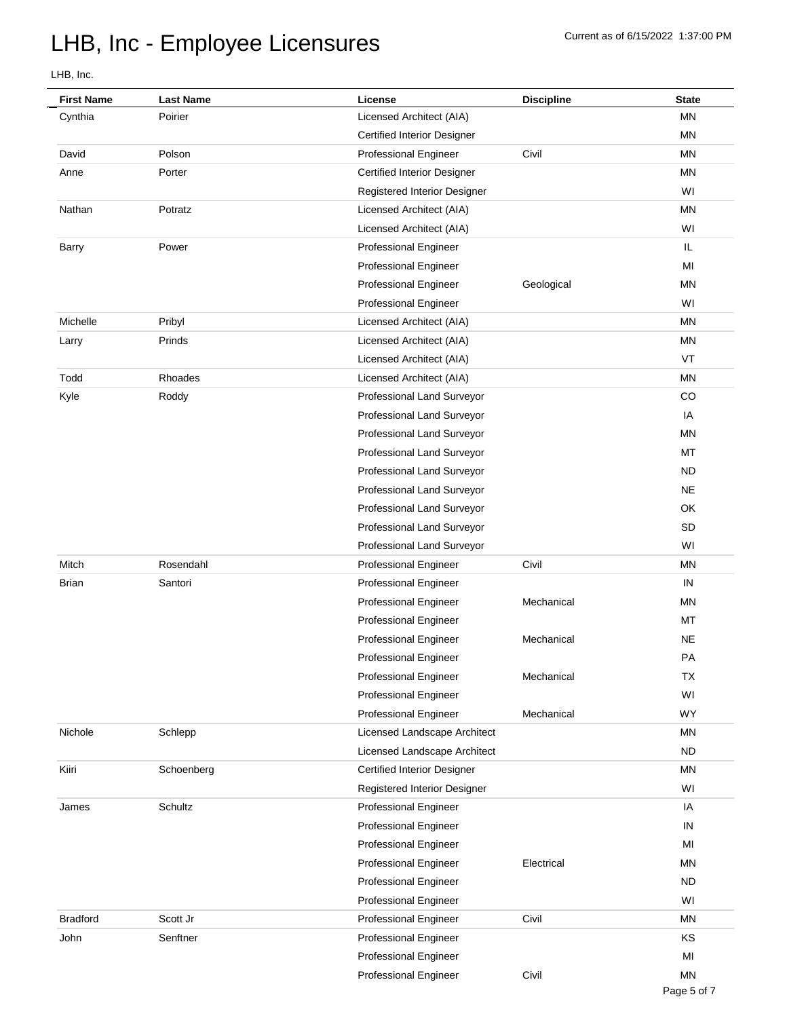| <b>First Name</b> | <b>Last Name</b> | License                            | <b>Discipline</b> | <b>State</b> |
|-------------------|------------------|------------------------------------|-------------------|--------------|
| Cynthia           | Poirier          | Licensed Architect (AIA)           |                   | MN           |
|                   |                  | <b>Certified Interior Designer</b> |                   | <b>MN</b>    |
| David             | Polson           | <b>Professional Engineer</b>       | Civil             | <b>MN</b>    |
| Anne              | Porter           | <b>Certified Interior Designer</b> |                   | <b>MN</b>    |
|                   |                  | Registered Interior Designer       |                   | WI           |
| Nathan            | Potratz          | Licensed Architect (AIA)           |                   | <b>MN</b>    |
|                   |                  | Licensed Architect (AIA)           |                   | WI           |
| Barry             | Power            | <b>Professional Engineer</b>       |                   | IL           |
|                   |                  | <b>Professional Engineer</b>       |                   | MI           |
|                   |                  | <b>Professional Engineer</b>       | Geological        | <b>MN</b>    |
|                   |                  | <b>Professional Engineer</b>       |                   | WI           |
| Michelle          | Pribyl           | Licensed Architect (AIA)           |                   | <b>MN</b>    |
| Larry             | Prinds           | Licensed Architect (AIA)           |                   | <b>MN</b>    |
|                   |                  | Licensed Architect (AIA)           |                   | VT           |
| Todd              | Rhoades          | Licensed Architect (AIA)           |                   | <b>MN</b>    |
| Kyle              | Roddy            | Professional Land Surveyor         |                   | CO           |
|                   |                  | Professional Land Surveyor         |                   | IA           |
|                   |                  | Professional Land Surveyor         |                   | <b>MN</b>    |
|                   |                  | Professional Land Surveyor         |                   | MT           |
|                   |                  | Professional Land Surveyor         |                   | <b>ND</b>    |
|                   |                  | Professional Land Surveyor         |                   | <b>NE</b>    |
|                   |                  | Professional Land Surveyor         |                   | OK           |
|                   |                  | Professional Land Surveyor         |                   | SD           |
|                   |                  | Professional Land Surveyor         |                   | WI           |
| Mitch             | Rosendahl        | <b>Professional Engineer</b>       | Civil             | <b>MN</b>    |
| <b>Brian</b>      | Santori          | <b>Professional Engineer</b>       |                   | IN           |
|                   |                  | <b>Professional Engineer</b>       | Mechanical        | <b>MN</b>    |
|                   |                  | <b>Professional Engineer</b>       |                   | MT           |
|                   |                  | <b>Professional Engineer</b>       | Mechanical        | <b>NE</b>    |
|                   |                  | <b>Professional Engineer</b>       |                   | PA           |
|                   |                  | <b>Professional Engineer</b>       | Mechanical        | ТX           |
|                   |                  | <b>Professional Engineer</b>       |                   | WI           |
|                   |                  | <b>Professional Engineer</b>       | Mechanical        | <b>WY</b>    |
| Nichole           | Schlepp          | Licensed Landscape Architect       |                   | ΜN           |
|                   |                  | Licensed Landscape Architect       |                   | <b>ND</b>    |
| Kiiri             | Schoenberg       | <b>Certified Interior Designer</b> |                   | <b>MN</b>    |
|                   |                  | Registered Interior Designer       |                   | WI           |
| James             | Schultz          | <b>Professional Engineer</b>       |                   | IA           |
|                   |                  | <b>Professional Engineer</b>       |                   | IN           |
|                   |                  | <b>Professional Engineer</b>       |                   | MI           |
|                   |                  | <b>Professional Engineer</b>       | Electrical        | <b>MN</b>    |
|                   |                  | <b>Professional Engineer</b>       |                   | <b>ND</b>    |
|                   |                  | <b>Professional Engineer</b>       |                   | WI           |
| <b>Bradford</b>   | Scott Jr         | <b>Professional Engineer</b>       | Civil             | <b>MN</b>    |
| John              | Senftner         | <b>Professional Engineer</b>       |                   | KS           |
|                   |                  | <b>Professional Engineer</b>       |                   | MI           |
|                   |                  | Professional Engineer              | Civil             | <b>MN</b>    |
|                   |                  |                                    |                   |              |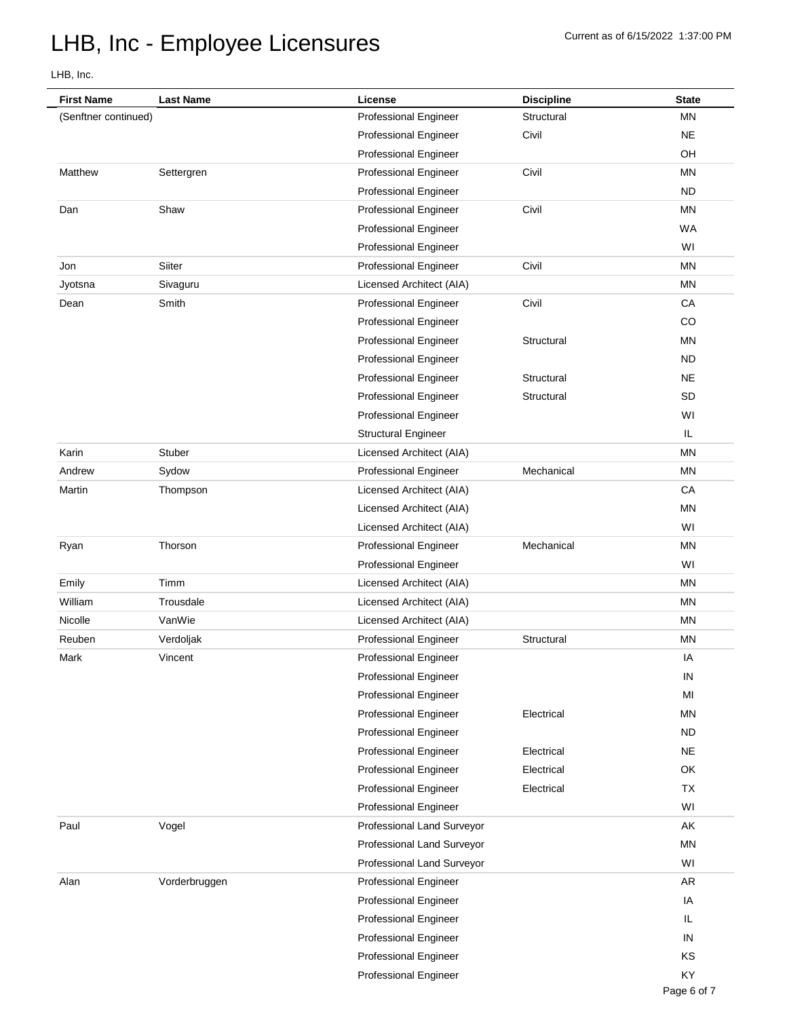| <b>First Name</b>    | <b>Last Name</b> | License                      | <b>Discipline</b> | <b>State</b> |
|----------------------|------------------|------------------------------|-------------------|--------------|
| (Senftner continued) |                  | <b>Professional Engineer</b> | Structural        | <b>MN</b>    |
|                      |                  | <b>Professional Engineer</b> | Civil             | <b>NE</b>    |
|                      |                  | <b>Professional Engineer</b> |                   | OH           |
| Matthew              | Settergren       | <b>Professional Engineer</b> | Civil             | <b>MN</b>    |
|                      |                  | <b>Professional Engineer</b> |                   | <b>ND</b>    |
| Dan                  | Shaw             | <b>Professional Engineer</b> | Civil             | <b>MN</b>    |
|                      |                  | <b>Professional Engineer</b> |                   | <b>WA</b>    |
|                      |                  | <b>Professional Engineer</b> |                   | WI           |
| Jon                  | Siiter           | <b>Professional Engineer</b> | Civil             | <b>MN</b>    |
| Jyotsna              | Sivaguru         | Licensed Architect (AIA)     |                   | <b>MN</b>    |
| Dean                 | Smith            | <b>Professional Engineer</b> | Civil             | CA           |
|                      |                  | <b>Professional Engineer</b> |                   | CO           |
|                      |                  | <b>Professional Engineer</b> | Structural        | <b>MN</b>    |
|                      |                  | <b>Professional Engineer</b> |                   | <b>ND</b>    |
|                      |                  | <b>Professional Engineer</b> | Structural        | <b>NE</b>    |
|                      |                  | Professional Engineer        | Structural        | SD           |
|                      |                  | <b>Professional Engineer</b> |                   | WI           |
|                      |                  | <b>Structural Engineer</b>   |                   | IL           |
| Karin                | Stuber           | Licensed Architect (AIA)     |                   | <b>MN</b>    |
| Andrew               | Sydow            | <b>Professional Engineer</b> | Mechanical        | <b>MN</b>    |
| Martin               | Thompson         | Licensed Architect (AIA)     |                   | СA           |
|                      |                  | Licensed Architect (AIA)     |                   | <b>MN</b>    |
|                      |                  | Licensed Architect (AIA)     |                   | WI           |
| Ryan                 | Thorson          | <b>Professional Engineer</b> | Mechanical        | <b>MN</b>    |
|                      |                  | <b>Professional Engineer</b> |                   | WI           |
| Emily                | Timm             | Licensed Architect (AIA)     |                   | <b>MN</b>    |
| William              | Trousdale        | Licensed Architect (AIA)     |                   | ΜN           |
| Nicolle              | VanWie           | Licensed Architect (AIA)     |                   | <b>MN</b>    |
| Reuben               | Verdoljak        | Professional Engineer        | Structural        | <b>MN</b>    |
| Mark                 | Vincent          | <b>Professional Engineer</b> |                   | IA           |
|                      |                  | <b>Professional Engineer</b> |                   | IN           |
|                      |                  | <b>Professional Engineer</b> |                   | MI           |
|                      |                  | <b>Professional Engineer</b> | Electrical        | <b>MN</b>    |
|                      |                  | <b>Professional Engineer</b> |                   | <b>ND</b>    |
|                      |                  | Professional Engineer        | Electrical        | <b>NE</b>    |
|                      |                  | Professional Engineer        | Electrical        | OK           |
|                      |                  | <b>Professional Engineer</b> | Electrical        | <b>TX</b>    |
|                      |                  | <b>Professional Engineer</b> |                   | WI           |
| Paul                 | Vogel            | Professional Land Surveyor   |                   | AK           |
|                      |                  | Professional Land Surveyor   |                   | <b>MN</b>    |
|                      |                  | Professional Land Surveyor   |                   | WI           |
| Alan                 | Vorderbruggen    | <b>Professional Engineer</b> |                   | AR           |
|                      |                  | <b>Professional Engineer</b> |                   | IA           |
|                      |                  | <b>Professional Engineer</b> |                   | IL.          |
|                      |                  | <b>Professional Engineer</b> |                   | IN           |
|                      |                  | <b>Professional Engineer</b> |                   | KS           |
|                      |                  | <b>Professional Engineer</b> |                   | KY           |
|                      |                  |                              |                   |              |